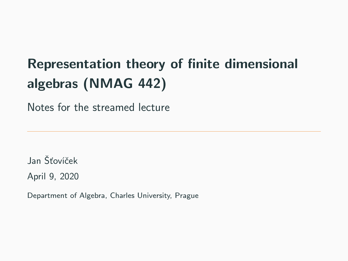# Representation theory of finite dimensional algebras (NMAG 442)

Notes for the streamed lecture

Jan Šťovíček April 9, 2020

Department of Algebra, Charles University, Prague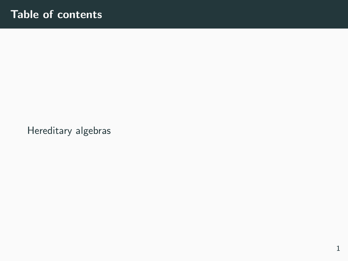[Hereditary algebras](#page-2-0)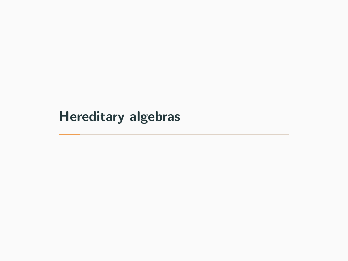# <span id="page-2-0"></span>[Hereditary algebras](#page-2-0)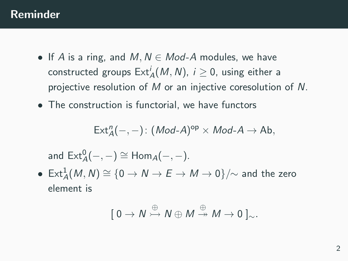## Reminder

- If A is a ring, and  $M, N \in Mod-A$  modules, we have constructed groups  $\mathsf{Ext}^i_A(M,N)$ ,  $i\geq 0$ , using either a projective resolution of M or an injective coresolution of N.
- The construction is functorial, we have functors

$$
\mathsf{Ext}^n_{A}(-,-)\colon (\mathit{Mod}\textrm{-}A)^{\mathsf{op}}\times \mathit{Mod}\textrm{-}A\to \mathsf{Ab},
$$

and  $\mathsf{Ext}^0_\mathcal{A}(-,-) \cong \mathsf{Hom}_\mathcal{A}(-,-).$ 

 $\bullet \; \operatorname{Ext}^1_A(M,N) \cong \{ 0 \to N \to E \to M \to 0 \}/\!\!\sim$  and the zero element is

$$
[\ 0\to N\stackrel{\oplus}{\to} N\oplus M\stackrel{\oplus}{\to} M\to 0\ ]_{\sim}.
$$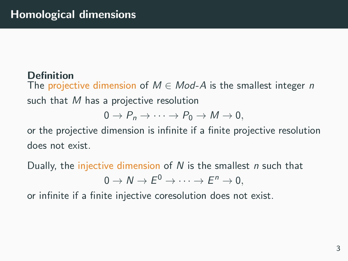## **Definition**

The projective dimension of  $M \in Mod-A$  is the smallest integer n such that M has a projective resolution

$$
0 \to P_n \to \cdots \to P_0 \to M \to 0,
$$

or the projective dimension is infinite if a finite projective resolution does not exist.

Dually, the injective dimension of  $N$  is the smallest  $n$  such that

$$
0 \to N \to E^0 \to \cdots \to E^n \to 0,
$$

or infinite if a finite injective coresolution does not exist.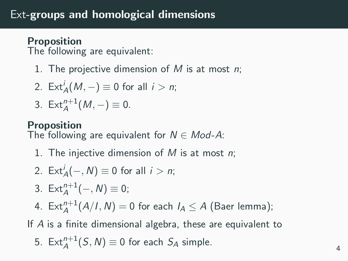## Proposition

The following are equivalent:

1. The projective dimension of M is at most  $n$ ;

2. 
$$
\operatorname{Ext}_{A}^{i}(M, -) \equiv 0 \text{ for all } i > n;
$$

$$
3. \operatorname{Ext}_{A}^{n+1}(M,-)\equiv 0.
$$

## Proposition

The following are equivalent for  $N \in Mod-A$ :

1. The injective dimension of  $M$  is at most  $n$ ;

2. 
$$
\operatorname{Ext}_{A}^{i}(-, N) \equiv 0 \text{ for all } i > n;
$$

- 3.  $Ext^{n+1}_A(-, N) \equiv 0;$
- 4.  $\mathsf{Ext}^{n+1}_A(A/I,N) = 0$  for each  $I_A \leq A$  (Baer lemma);

If A is a finite dimensional algebra, these are equivalent to

5. 
$$
\text{Ext}_{A}^{n+1}(S, N) \equiv 0
$$
 for each  $S_A$  simple.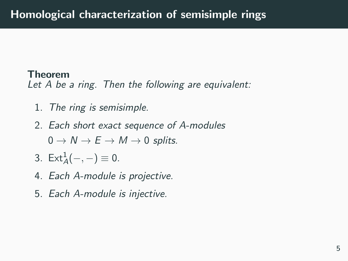#### Theorem

Let A be a ring. Then the following are equivalent:

- 1. The ring is semisimple.
- 2. Each short exact sequence of A-modules  $0 \to N \to E \to M \to 0$  splits.
- 3.  $Ext_A^1(-,-) \equiv 0$ .
- 4. Each A-module is projective.
- 5. Each A-module is injective.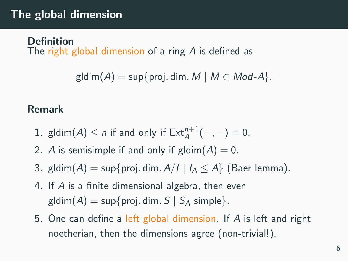## The global dimension

#### **Definition**

The right global dimension of a ring A is defined as

```
gldim(A) = \sup\{proj.dim M \mid M \in Mod-A\}.
```
#### Remark

- 1. gldim $(A) \leq n$  if and only if  $\text{Ext}_{A}^{n+1}(-,-) \equiv 0$ .
- 2. A is semisimple if and only if gldim $(A) = 0$ .
- 3. gldim $(A)$  = sup{proj. dim.  $A/I \mid I_A \leq A$ } (Baer lemma).
- 4. If A is a finite dimensional algebra, then even gldim $(A)$  = sup{proj. dim.  $S \mid S_A$  simple}.
- 5. One can define a left global dimension. If A is left and right noetherian, then the dimensions agree (non-trivial!).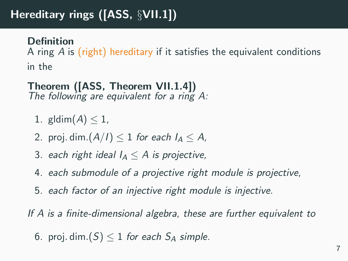# Hereditary rings ([ASS, §VII.1])

#### **Definition**

A ring A is (right) hereditary if it satisfies the equivalent conditions in the

#### Theorem ([ASS, Theorem VII.1.4]) The following are equivalent for a ring  $A$ :

- 1. gldim $(A)$  < 1.
- 2. proj. dim. $(A/I) \leq 1$  for each  $I_A \leq A$ ,
- 3. each right ideal  $I_A < A$  is projective,
- 4. each submodule of a projective right module is projective,
- 5. each factor of an injective right module is injective.

If A is a finite-dimensional algebra, these are further equivalent to

6. proj. dim. $(S) \leq 1$  for each  $S_A$  simple.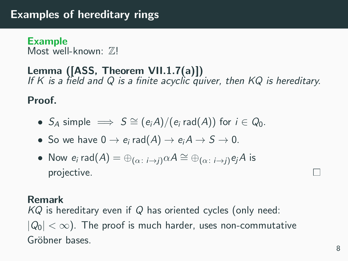## Examples of hereditary rings

Example Most well-known:  $\mathbb{Z}!$ 

## Lemma ([ASS, Theorem VII.1.7(a)]) If K is a field and Q is a finite acyclic quiver, then  $KQ$  is hereditary.

Proof.

- $S_A$  simple  $\implies S \cong (e_iA)/(e_i \text{ rad}(A))$  for  $i \in Q_0$ .
- So we have  $0 \to e_i$  rad $(A) \to e_i A \to S \to 0$ .
- Now  $e_i$  rad $(A) = \bigoplus_{(\alpha \colon i \to i)} \alpha A \cong \bigoplus_{(\alpha \colon i \to i)} e_i A$  is projective.

#### Remark

 $KQ$  is hereditary even if Q has oriented cycles (only need:  $|Q_0|<\infty$ ). The proof is much harder, uses non-commutative Gröbner bases.

 $\Box$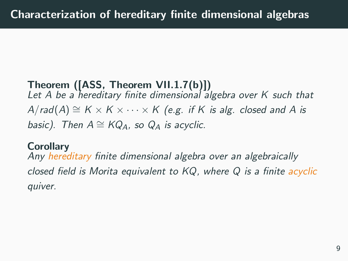# Theorem ([ASS, Theorem VII.1.7(b)]) Let  $A$  be a hereditary finite dimensional algebra over  $K$  such that  $A/rad(A) \cong K \times K \times \cdots \times K$  (e.g. if K is alg. closed and A is basic). Then  $A \cong KQ_A$ , so  $Q_A$  is acyclic.

#### **Corollary**

Any hereditary finite dimensional algebra over an algebraically closed field is Morita equivalent to  $KQ$ , where  $Q$  is a finite acyclic quiver.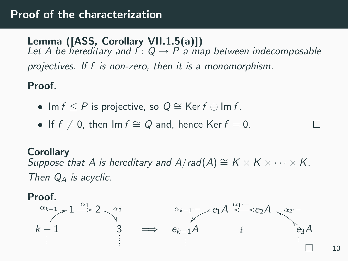Lemma ([ASS, Corollary VII.1.5(a)]) Let A be hereditary and  $f: Q \rightarrow P$  a map between indecomposable projectives. If f is non-zero, then it is a monomorphism.

Proof.

- Im  $f \le P$  is projective, so  $Q \cong \text{Ker } f \oplus \text{Im } f$ .
- If  $f \neq 0$ , then Im  $f \cong Q$  and, hence Ker  $f = 0$ .

**Corollary** Suppose that A is hereditary and  $A/rad(A) \cong K \times K \times \cdots \times K$ . Then  $Q_A$  is acyclic.